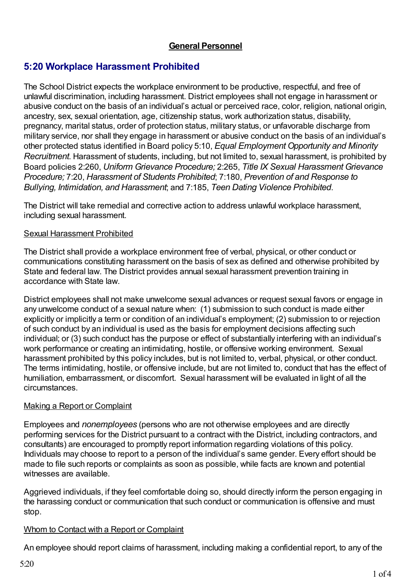# **General Personnel**

# **5:20 Workplace Harassment Prohibited**

The School District expects the workplace environment to be productive, respectful, and free of unlawful discrimination, including harassment. District employees shall not engage in harassment or abusive conduct on the basis of an individual's actual or perceived race, color, religion, national origin, ancestry, sex, sexual orientation, age, citizenship status, work authorization status, disability, pregnancy, marital status, order of protection status, military status, or unfavorable discharge from military service, nor shall they engage in harassment or abusive conduct on the basis of an individual's other protected status identified in Board policy 5:10, *Equal Employment Opportunity and Minority Recruitment*. Harassment of students, including, but not limited to, sexual harassment, is prohibited by Board policies 2:260, *Uniform Grievance Procedure;* 2:265, *Title IX Sexual Harassment Grievance Procedure;* 7:20, *Harassment of Students Prohibited*; 7:180, *Prevention of and Response to Bullying, Intimidation, and Harassment*; and 7:185, *Teen Dating Violence Prohibited*.

The District will take remedial and corrective action to address unlawful workplace harassment, including sexual harassment.

#### Sexual Harassment Prohibited

The District shall provide a workplace environment free of verbal, physical, or other conduct or communications constituting harassment on the basis of sex as defined and otherwise prohibited by State and federal law. The District provides annual sexual harassment prevention training in accordance with State law.

District employees shall not make unwelcome sexual advances or request sexual favors or engage in any unwelcome conduct of a sexual nature when: (1) submission to such conduct is made either explicitly or implicitly a term or condition of an individual's employment; (2) submission to or rejection of such conduct by an individual is used as the basis for employment decisions affecting such individual; or (3) such conduct has the purpose or effect of substantially interfering with an individual's work performance or creating an intimidating, hostile, or offensive working environment. Sexual harassment prohibited by this policy includes, but is not limited to, verbal, physical, or other conduct. The terms intimidating, hostile, or offensive include, but are not limited to, conduct that has the effect of humiliation, embarrassment, or discomfort. Sexual harassment will be evaluated in light of all the circumstances.

#### Making a Report or Complaint

Employees and *nonemployees* (persons who are not otherwise employees and are directly performing services for the District pursuant to a contract with the District, including contractors, and consultants) are encouraged to promptly report information regarding violations of this policy. Individuals may choose to report to a person of the individual's same gender. Every effort should be made to file such reports or complaints as soon as possible, while facts are known and potential witnesses are available.

Aggrieved individuals, if they feel comfortable doing so, should directly inform the person engaging in the harassing conduct or communication that such conduct or communication is offensive and must stop.

#### Whom to Contact with a Report or Complaint

An employee should report claims of harassment, including making a confidential report, to any of the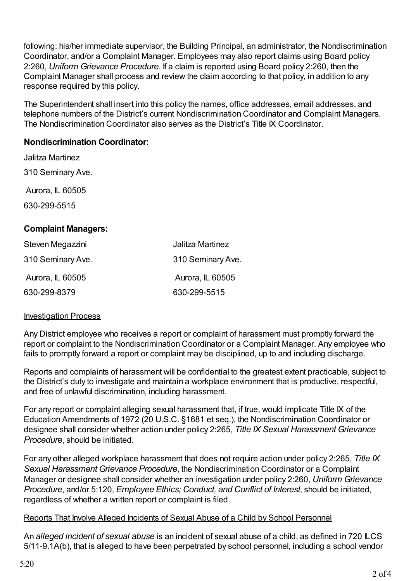following: his/her immediate supervisor, the Building Principal, an administrator, the Nondiscrimination Coordinator, and/or a Complaint Manager. Employees may also report claims using Board policy 2:260, *Uniform Grievance Procedure.* If a claim is reported using Board policy 2:260, then the Complaint Manager shall process and review the claim according to that policy, in addition to any response required by this policy.

The Superintendent shall insert into this policy the names, office addresses, email addresses, and telephone numbers of the District's current Nondiscrimination Coordinator and Complaint Managers. The Nondiscrimination Coordinator also serves as the District's Title IX Coordinator.

## **Nondiscrimination Coordinator:**

Jalitza Martinez 310 Seminary Ave. Aurora, IL 60505 630-299-5515 **Complaint Managers:**

| Steven Megazzini  | Jalitza Martinez  |
|-------------------|-------------------|
| 310 Seminary Ave. | 310 Seminary Ave. |
| Aurora, IL 60505  | Aurora, IL 60505  |
| 630-299-8379      | 630-299-5515      |

#### Investigation Process

Any District employee who receives a report or complaint of harassment must promptly forward the report or complaint to the Nondiscrimination Coordinator or a Complaint Manager. Any employee who fails to promptly forward a report or complaint may be disciplined, up to and including discharge.

Reports and complaints of harassment will be confidential to the greatest extent practicable, subject to the District's duty to investigate and maintain a workplace environment that is productive, respectful, and free of unlawful discrimination, including harassment.

For any report or complaint alleging sexual harassment that, if true, would implicate Title IX of the Education Amendments of 1972 (20 U.S.C. §1681 et seq.), the Nondiscrimination Coordinator or designee shall consider whether action under policy 2:265, *Title IX Sexual Harassment Grievance Procedure*, should be initiated.

For any other alleged workplace harassment that does not require action under policy 2:265, *Title IX Sexual Harassment Grievance Procedure*, the Nondiscrimination Coordinator or a Complaint Manager or designee shall consider whether an investigation under policy 2:260, *Uniform Grievance Procedure*, and/or 5:120, *Employee Ethics; Conduct, and Conflict of Interest*, should be initiated, regardless of whether a written report or complaint is filed.

#### Reports That Involve Alleged Incidents of Sexual Abuse of a Child by School Personnel

An *alleged incident of sexual abuse* is an incident of sexual abuse of a child, as defined in 720 ILCS 5/11-9.1A(b), that is alleged to have been perpetrated by school personnel, including a school vendor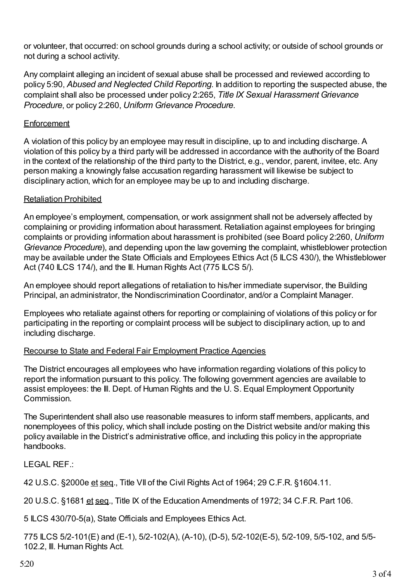or volunteer, that occurred: on school grounds during a school activity; or outside of school grounds or not during a school activity.

Any complaint alleging an incident of sexual abuse shall be processed and reviewed according to policy 5:90, *Abused and Neglected Child Reporting*. In addition to reporting the suspected abuse, the complaint shall also be processed under policy 2:265, *Title IX Sexual Harassment Grievance Procedure*, or policy 2:260, *Uniform Grievance Procedure*.

## **Enforcement**

A violation of this policy by an employee may result in discipline, up to and including discharge. A violation of this policy by a third party will be addressed in accordance with the authority of the Board in the context of the relationship of the third party to the District, e.g., vendor, parent, invitee, etc. Any person making a knowingly false accusation regarding harassment will likewise be subject to disciplinary action, which for an employee may be up to and including discharge.

## Retaliation Prohibited

An employee's employment, compensation, or work assignment shall not be adversely affected by complaining or providing information about harassment. Retaliation against employees for bringing complaints or providing information about harassment is prohibited (see Board policy 2:260, *Uniform Grievance Procedure*), and depending upon the law governing the complaint, whistleblower protection may be available under the State Officials and Employees Ethics Act (5 ILCS 430/), the Whistleblower Act (740 ILCS 174/), and the III. Human Rights Act (775 ILCS 5/).

An employee should report allegations of retaliation to his/her immediate supervisor, the Building Principal, an administrator, the Nondiscrimination Coordinator, and/or a Complaint Manager.

Employees who retaliate against others for reporting or complaining of violations of this policy or for participating in the reporting or complaint process will be subject to disciplinary action, up to and including discharge.

#### Recourse to State and Federal Fair Employment Practice Agencies

The District encourages all employees who have information regarding violations of this policy to report the information pursuant to this policy. The following government agencies are available to assist employees: the Ill. Dept. of Human Rights and the U. S. Equal Employment Opportunity Commission.

The Superintendent shall also use reasonable measures to inform staff members, applicants, and nonemployees of this policy, which shall include posting on the District website and/or making this policy available in the District's administrative office, and including this policy in the appropriate handbooks.

LEGAL REF.:

42 U.S.C. §2000e et seq., Title VII of the Civil Rights Act of 1964; 29 C.F.R. §1604.11.

20 U.S.C. §1681 et seq., Title IX of the Education Amendments of 1972; 34 C.F.R. Part 106.

5 ILCS 430/70-5(a), State Officials and Employees Ethics Act.

775 ILCS 5/2-101(E) and (E-1), 5/2-102(A), (A-10), (D-5), 5/2-102(E-5), 5/2-109, 5/5-102, and 5/5- 102.2, Ill. Human Rights Act.